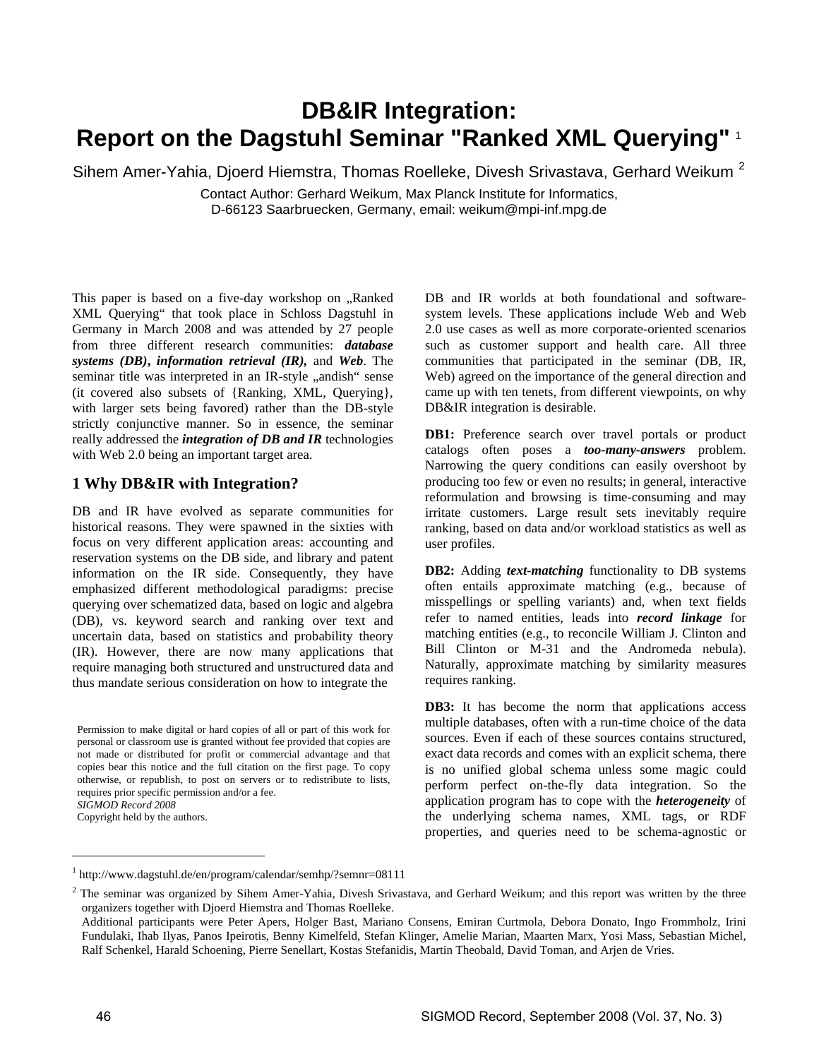# **DB&IR Integration: Report on the Dagstuhl Seminar "Ranked XML Querying"** [1](#page-0-0)

Sihem Amer-Yahia, Djoerd Hiemstra, Thomas Roelleke, Divesh Srivastava, Gerhard Weikum <sup>[2](#page-0-1)</sup>

Contact Author: Gerhard Weikum, Max Planck Institute for Informatics, D-66123 Saarbruecken, Germany, email: weikum@mpi-inf.mpg.de

This paper is based on a five-day workshop on "Ranked XML Querying" that took place in Schloss Dagstuhl in Germany in March 2008 and was attended by 27 people from three different research communities: *database systems (DB)***,** *information retrieval (IR),* and *Web*. The seminar title was interpreted in an IR-style "andish" sense (it covered also subsets of {Ranking, XML, Querying}, with larger sets being favored) rather than the DB-style strictly conjunctive manner. So in essence, the seminar really addressed the *integration of DB and IR* technologies with Web 2.0 being an important target area.

## **1 Why DB&IR with Integration?**

DB and IR have evolved as separate communities for historical reasons. They were spawned in the sixties with focus on very different application areas: accounting and reservation systems on the DB side, and library and patent information on the IR side. Consequently, they have emphasized different methodological paradigms: precise querying over schematized data, based on logic and algebra (DB), vs. keyword search and ranking over text and uncertain data, based on statistics and probability theory (IR). However, there are now many applications that require managing both structured and unstructured data and thus mandate serious consideration on how to integrate the

Permission to make digital or hard copies of all or part of this work for personal or classroom use is granted without fee provided that copies are not made or distributed for profit or commercial advantage and that copies bear this notice and the full citation on the first page. To copy otherwise, or republish, to post on servers or to redistribute to lists, requires prior specific permission and/or a fee. *SIGMOD Record 2008* 

Copyright held by the authors.

DB and IR worlds at both foundational and softwaresystem levels. These applications include Web and Web 2.0 use cases as well as more corporate-oriented scenarios such as customer support and health care. All three communities that participated in the seminar (DB, IR, Web) agreed on the importance of the general direction and came up with ten tenets, from different viewpoints, on why DB&IR integration is desirable.

**DB1:** Preference search over travel portals or product catalogs often poses a *too-many-answers* problem. Narrowing the query conditions can easily overshoot by producing too few or even no results; in general, interactive reformulation and browsing is time-consuming and may irritate customers. Large result sets inevitably require ranking, based on data and/or workload statistics as well as user profiles.

**DB2:** Adding *text-matching* functionality to DB systems often entails approximate matching (e.g., because of misspellings or spelling variants) and, when text fields refer to named entities, leads into *record linkage* for matching entities (e.g., to reconcile William J. Clinton and Bill Clinton or M-31 and the Andromeda nebula). Naturally, approximate matching by similarity measures requires ranking.

**DB3:** It has become the norm that applications access multiple databases, often with a run-time choice of the data sources. Even if each of these sources contains structured, exact data records and comes with an explicit schema, there is no unified global schema unless some magic could perform perfect on-the-fly data integration. So the application program has to cope with the *heterogeneity* of the underlying schema names, XML tags, or RDF properties, and queries need to be schema-agnostic or

 $\overline{a}$ 

<span id="page-0-0"></span><sup>1</sup> http://www.dagstuhl.de/en/program/calendar/semhp/?semnr=08111

<span id="page-0-1"></span> $^2$  The seminar was organized by Sihem Amer-Yahia, Divesh Srivastava, and Gerhard Weikum; and this report was written by the three organizers together with Djoerd Hiemstra and Thomas Roelleke.

Additional participants were Peter Apers, Holger Bast, Mariano Consens, Emiran Curtmola, Debora Donato, Ingo Frommholz, Irini Fundulaki, Ihab Ilyas, Panos Ipeirotis, Benny Kimelfeld, Stefan Klinger, Amelie Marian, Maarten Marx, Yosi Mass, Sebastian Michel, Ralf Schenkel, Harald Schoening, Pierre Senellart, Kostas Stefanidis, Martin Theobald, David Toman, and Arjen de Vries.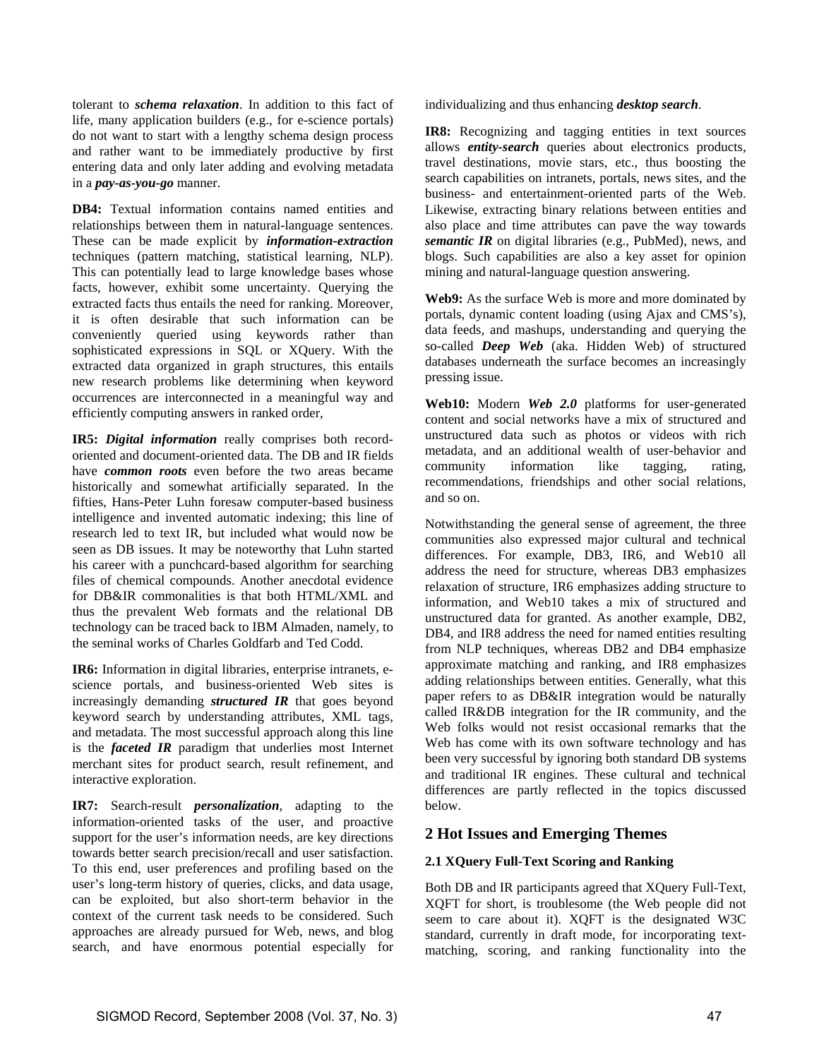tolerant to *schema relaxation*. In addition to this fact of life, many application builders (e.g., for e-science portals) do not want to start with a lengthy schema design process and rather want to be immediately productive by first entering data and only later adding and evolving metadata in a *pay-as-you-go* manner.

**DB4:** Textual information contains named entities and relationships between them in natural-language sentences. These can be made explicit by *information-extraction* techniques (pattern matching, statistical learning, NLP). This can potentially lead to large knowledge bases whose facts, however, exhibit some uncertainty. Querying the extracted facts thus entails the need for ranking. Moreover, it is often desirable that such information can be conveniently queried using keywords rather than sophisticated expressions in SQL or XQuery. With the extracted data organized in graph structures, this entails new research problems like determining when keyword occurrences are interconnected in a meaningful way and efficiently computing answers in ranked order,

**IR5:** *Digital information* really comprises both recordoriented and document-oriented data. The DB and IR fields have *common roots* even before the two areas became historically and somewhat artificially separated. In the fifties, Hans-Peter Luhn foresaw computer-based business intelligence and invented automatic indexing; this line of research led to text IR, but included what would now be seen as DB issues. It may be noteworthy that Luhn started his career with a punchcard-based algorithm for searching files of chemical compounds. Another anecdotal evidence for DB&IR commonalities is that both HTML/XML and thus the prevalent Web formats and the relational DB technology can be traced back to IBM Almaden, namely, to the seminal works of Charles Goldfarb and Ted Codd.

**IR6:** Information in digital libraries, enterprise intranets, escience portals, and business-oriented Web sites is increasingly demanding *structured IR* that goes beyond keyword search by understanding attributes, XML tags, and metadata. The most successful approach along this line is the *faceted IR* paradigm that underlies most Internet merchant sites for product search, result refinement, and interactive exploration.

**IR7:** Search-result *personalization*, adapting to the information-oriented tasks of the user, and proactive support for the user's information needs, are key directions towards better search precision/recall and user satisfaction. To this end, user preferences and profiling based on the user's long-term history of queries, clicks, and data usage, can be exploited, but also short-term behavior in the context of the current task needs to be considered. Such approaches are already pursued for Web, news, and blog search, and have enormous potential especially for individualizing and thus enhancing *desktop search*.

**IR8:** Recognizing and tagging entities in text sources allows *entity-search* queries about electronics products, travel destinations, movie stars, etc., thus boosting the search capabilities on intranets, portals, news sites, and the business- and entertainment-oriented parts of the Web. Likewise, extracting binary relations between entities and also place and time attributes can pave the way towards *semantic IR* on digital libraries (e.g., PubMed), news, and blogs. Such capabilities are also a key asset for opinion mining and natural-language question answering.

**Web9:** As the surface Web is more and more dominated by portals, dynamic content loading (using Ajax and CMS's), data feeds, and mashups, understanding and querying the so-called *Deep Web* (aka. Hidden Web) of structured databases underneath the surface becomes an increasingly pressing issue.

**Web10:** Modern *Web 2.0* platforms for user-generated content and social networks have a mix of structured and unstructured data such as photos or videos with rich metadata, and an additional wealth of user-behavior and community information like tagging, rating, recommendations, friendships and other social relations, and so on.

Notwithstanding the general sense of agreement, the three communities also expressed major cultural and technical differences. For example, DB3, IR6, and Web10 all address the need for structure, whereas DB3 emphasizes relaxation of structure, IR6 emphasizes adding structure to information, and Web10 takes a mix of structured and unstructured data for granted. As another example, DB2, DB4, and IR8 address the need for named entities resulting from NLP techniques, whereas DB2 and DB4 emphasize approximate matching and ranking, and IR8 emphasizes adding relationships between entities. Generally, what this paper refers to as DB&IR integration would be naturally called IR&DB integration for the IR community, and the Web folks would not resist occasional remarks that the Web has come with its own software technology and has been very successful by ignoring both standard DB systems and traditional IR engines. These cultural and technical differences are partly reflected in the topics discussed below.

## **2 Hot Issues and Emerging Themes**

### **2.1 XQuery Full-Text Scoring and Ranking**

Both DB and IR participants agreed that XQuery Full-Text, XQFT for short, is troublesome (the Web people did not seem to care about it). XQFT is the designated W3C standard, currently in draft mode, for incorporating textmatching, scoring, and ranking functionality into the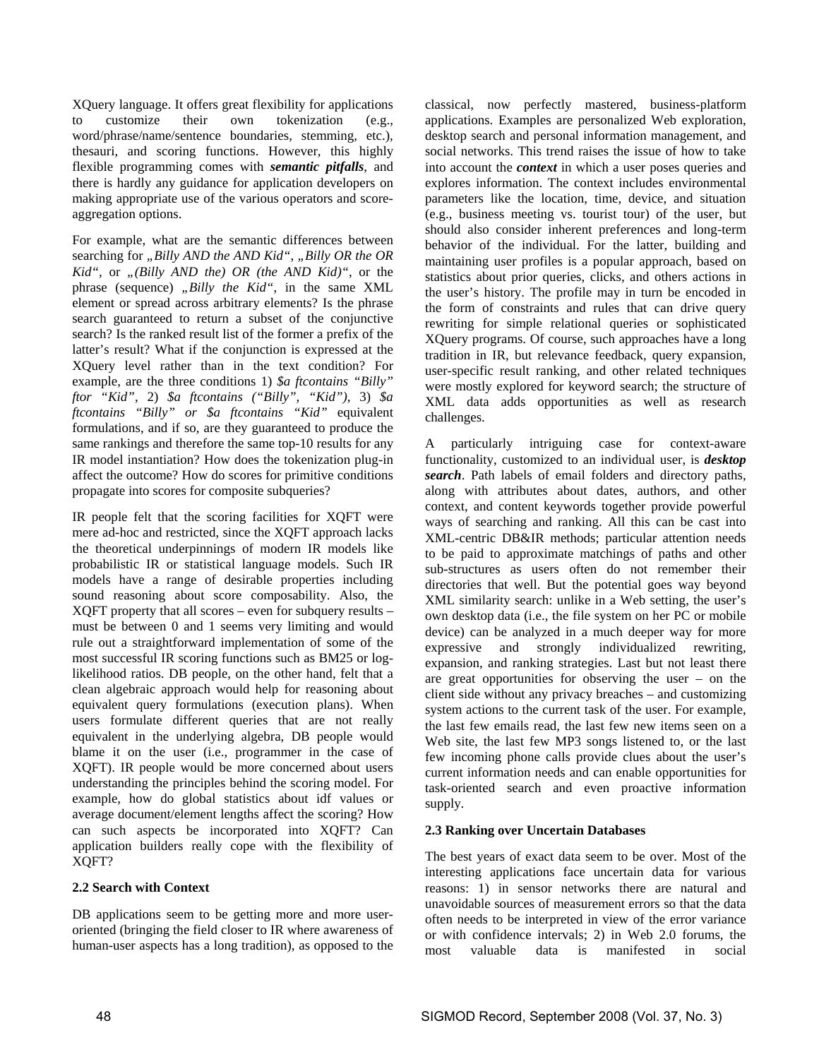XQuery language. It offers great flexibility for applications to customize their own tokenization (e.g., word/phrase/name/sentence boundaries, stemming, etc.), thesauri, and scoring functions. However, this highly flexible programming comes with *semantic pitfalls*, and there is hardly any guidance for application developers on making appropriate use of the various operators and scoreaggregation options.

For example, what are the semantic differences between searching for *"Billy AND the AND Kid"*, *"Billy OR the OR Kid",* or *"(Billy AND the) OR (the AND Kid)"*, or the phrase (sequence) "Billy the Kid", in the same XML element or spread across arbitrary elements? Is the phrase search guaranteed to return a subset of the conjunctive search? Is the ranked result list of the former a prefix of the latter's result? What if the conjunction is expressed at the XQuery level rather than in the text condition? For example, are the three conditions 1) *\$a ftcontains "Billy" ftor "Kid"*, 2) *\$a ftcontains ("Billy", "Kid")*, 3) *\$a ftcontains "Billy" or \$a ftcontains "Kid"* equivalent formulations, and if so, are they guaranteed to produce the same rankings and therefore the same top-10 results for any IR model instantiation? How does the tokenization plug-in affect the outcome? How do scores for primitive conditions propagate into scores for composite subqueries?

IR people felt that the scoring facilities for XQFT were mere ad-hoc and restricted, since the XQFT approach lacks the theoretical underpinnings of modern IR models like probabilistic IR or statistical language models. Such IR models have a range of desirable properties including sound reasoning about score composability. Also, the XQFT property that all scores – even for subquery results – must be between 0 and 1 seems very limiting and would rule out a straightforward implementation of some of the most successful IR scoring functions such as BM25 or loglikelihood ratios. DB people, on the other hand, felt that a clean algebraic approach would help for reasoning about equivalent query formulations (execution plans). When users formulate different queries that are not really equivalent in the underlying algebra, DB people would blame it on the user (i.e., programmer in the case of XQFT). IR people would be more concerned about users understanding the principles behind the scoring model. For example, how do global statistics about idf values or average document/element lengths affect the scoring? How can such aspects be incorporated into XQFT? Can application builders really cope with the flexibility of XQFT?

### **2.2 Search with Context**

DB applications seem to be getting more and more useroriented (bringing the field closer to IR where awareness of human-user aspects has a long tradition), as opposed to the

classical, now perfectly mastered, business-platform applications. Examples are personalized Web exploration, desktop search and personal information management, and social networks. This trend raises the issue of how to take into account the *context* in which a user poses queries and explores information. The context includes environmental parameters like the location, time, device, and situation (e.g., business meeting vs. tourist tour) of the user, but should also consider inherent preferences and long-term behavior of the individual. For the latter, building and maintaining user profiles is a popular approach, based on statistics about prior queries, clicks, and others actions in the user's history. The profile may in turn be encoded in the form of constraints and rules that can drive query rewriting for simple relational queries or sophisticated XQuery programs. Of course, such approaches have a long tradition in IR, but relevance feedback, query expansion, user-specific result ranking, and other related techniques were mostly explored for keyword search; the structure of XML data adds opportunities as well as research challenges.

A particularly intriguing case for context-aware functionality, customized to an individual user, is *desktop search*. Path labels of email folders and directory paths, along with attributes about dates, authors, and other context, and content keywords together provide powerful ways of searching and ranking. All this can be cast into XML-centric DB&IR methods; particular attention needs to be paid to approximate matchings of paths and other sub-structures as users often do not remember their directories that well. But the potential goes way beyond XML similarity search: unlike in a Web setting, the user's own desktop data (i.e., the file system on her PC or mobile device) can be analyzed in a much deeper way for more expressive and strongly individualized rewriting, expansion, and ranking strategies. Last but not least there are great opportunities for observing the user – on the client side without any privacy breaches – and customizing system actions to the current task of the user. For example, the last few emails read, the last few new items seen on a Web site, the last few MP3 songs listened to, or the last few incoming phone calls provide clues about the user's current information needs and can enable opportunities for task-oriented search and even proactive information supply.

### **2.3 Ranking over Uncertain Databases**

The best years of exact data seem to be over. Most of the interesting applications face uncertain data for various reasons: 1) in sensor networks there are natural and unavoidable sources of measurement errors so that the data often needs to be interpreted in view of the error variance or with confidence intervals; 2) in Web 2.0 forums, the most valuable data is manifested in social